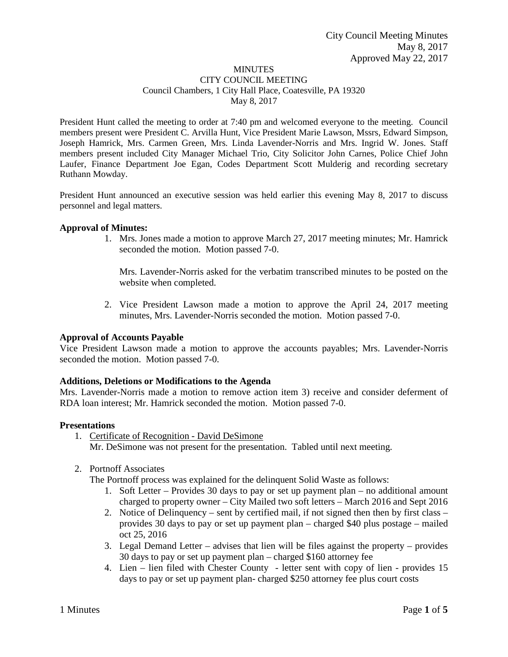#### **MINUTES** CITY COUNCIL MEETING Council Chambers, 1 City Hall Place, Coatesville, PA 19320 May 8, 2017

President Hunt called the meeting to order at 7:40 pm and welcomed everyone to the meeting. Council members present were President C. Arvilla Hunt, Vice President Marie Lawson, Mssrs, Edward Simpson, Joseph Hamrick, Mrs. Carmen Green, Mrs. Linda Lavender-Norris and Mrs. Ingrid W. Jones. Staff members present included City Manager Michael Trio, City Solicitor John Carnes, Police Chief John Laufer, Finance Department Joe Egan, Codes Department Scott Mulderig and recording secretary Ruthann Mowday.

President Hunt announced an executive session was held earlier this evening May 8, 2017 to discuss personnel and legal matters.

## **Approval of Minutes:**

1. Mrs. Jones made a motion to approve March 27, 2017 meeting minutes; Mr. Hamrick seconded the motion. Motion passed 7-0.

Mrs. Lavender-Norris asked for the verbatim transcribed minutes to be posted on the website when completed.

2. Vice President Lawson made a motion to approve the April 24, 2017 meeting minutes, Mrs. Lavender-Norris seconded the motion. Motion passed 7-0.

## **Approval of Accounts Payable**

Vice President Lawson made a motion to approve the accounts payables; Mrs. Lavender-Norris seconded the motion. Motion passed 7-0.

## **Additions, Deletions or Modifications to the Agenda**

Mrs. Lavender-Norris made a motion to remove action item 3) receive and consider deferment of RDA loan interest; Mr. Hamrick seconded the motion. Motion passed 7-0.

## **Presentations**

- 1. Certificate of Recognition David DeSimone Mr. DeSimone was not present for the presentation. Tabled until next meeting.
- 2. Portnoff Associates

The Portnoff process was explained for the delinquent Solid Waste as follows:

- 1. Soft Letter Provides 30 days to pay or set up payment plan no additional amount charged to property owner – City Mailed two soft letters – March 2016 and Sept 2016
- 2. Notice of Delinquency sent by certified mail, if not signed then then by first class provides 30 days to pay or set up payment plan – charged \$40 plus postage – mailed oct 25, 2016
- 3. Legal Demand Letter advises that lien will be files against the property provides 30 days to pay or set up payment plan – charged \$160 attorney fee
- 4. Lien lien filed with Chester County letter sent with copy of lien provides 15 days to pay or set up payment plan- charged \$250 attorney fee plus court costs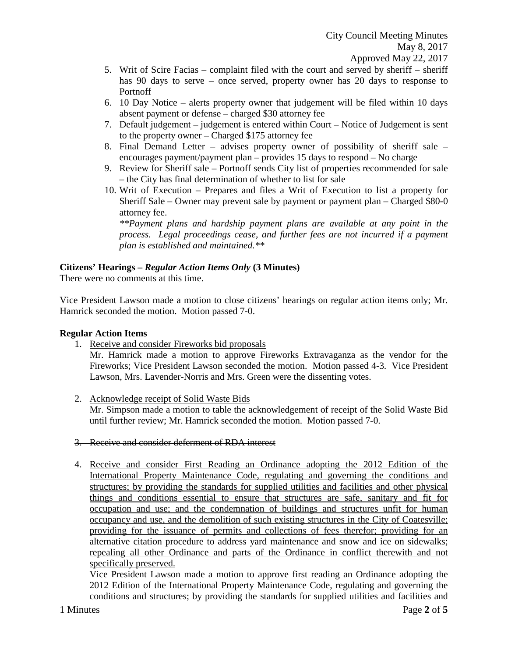- 5. Writ of Scire Facias complaint filed with the court and served by sheriff sheriff has 90 days to serve – once served, property owner has 20 days to response to Portnoff
- 6. 10 Day Notice alerts property owner that judgement will be filed within 10 days absent payment or defense – charged \$30 attorney fee
- 7. Default judgement judgement is entered within Court Notice of Judgement is sent to the property owner – Charged \$175 attorney fee
- 8. Final Demand Letter advises property owner of possibility of sheriff sale encourages payment/payment plan – provides 15 days to respond – No charge
- 9. Review for Sheriff sale Portnoff sends City list of properties recommended for sale – the City has final determination of whether to list for sale
- 10. Writ of Execution Prepares and files a Writ of Execution to list a property for Sheriff Sale – Owner may prevent sale by payment or payment plan – Charged \$80-0 attorney fee.

*\*\*Payment plans and hardship payment plans are available at any point in the process. Legal proceedings cease, and further fees are not incurred if a payment plan is established and maintained.\*\**

# **Citizens' Hearings –** *Regular Action Items Only* **(3 Minutes)**

There were no comments at this time.

Vice President Lawson made a motion to close citizens' hearings on regular action items only; Mr. Hamrick seconded the motion. Motion passed 7-0.

## **Regular Action Items**

1. Receive and consider Fireworks bid proposals

Mr. Hamrick made a motion to approve Fireworks Extravaganza as the vendor for the Fireworks; Vice President Lawson seconded the motion. Motion passed 4-3. Vice President Lawson, Mrs. Lavender-Norris and Mrs. Green were the dissenting votes.

2. Acknowledge receipt of Solid Waste Bids

Mr. Simpson made a motion to table the acknowledgement of receipt of the Solid Waste Bid until further review; Mr. Hamrick seconded the motion. Motion passed 7-0.

- 3. Receive and consider deferment of RDA interest
- 4. Receive and consider First Reading an Ordinance adopting the 2012 Edition of the International Property Maintenance Code, regulating and governing the conditions and structures; by providing the standards for supplied utilities and facilities and other physical things and conditions essential to ensure that structures are safe, sanitary and fit for occupation and use; and the condemnation of buildings and structures unfit for human occupancy and use, and the demolition of such existing structures in the City of Coatesville; providing for the issuance of permits and collections of fees therefor; providing for an alternative citation procedure to address yard maintenance and snow and ice on sidewalks; repealing all other Ordinance and parts of the Ordinance in conflict therewith and not specifically preserved.

Vice President Lawson made a motion to approve first reading an Ordinance adopting the 2012 Edition of the International Property Maintenance Code, regulating and governing the conditions and structures; by providing the standards for supplied utilities and facilities and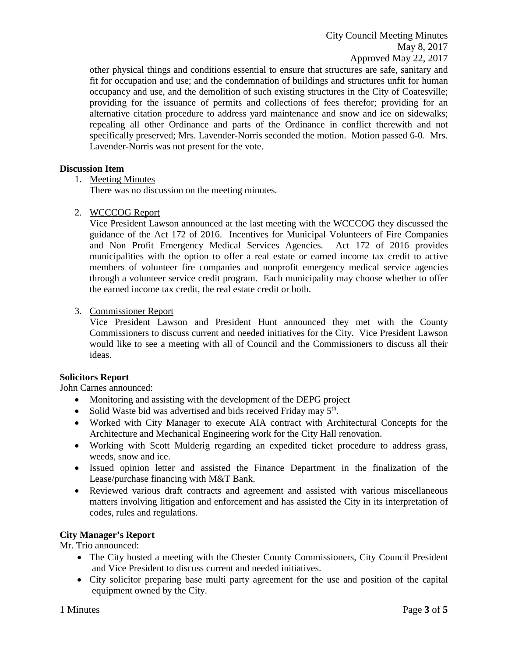other physical things and conditions essential to ensure that structures are safe, sanitary and fit for occupation and use; and the condemnation of buildings and structures unfit for human occupancy and use, and the demolition of such existing structures in the City of Coatesville; providing for the issuance of permits and collections of fees therefor; providing for an alternative citation procedure to address yard maintenance and snow and ice on sidewalks; repealing all other Ordinance and parts of the Ordinance in conflict therewith and not specifically preserved; Mrs. Lavender-Norris seconded the motion. Motion passed 6-0. Mrs. Lavender-Norris was not present for the vote.

# **Discussion Item**

1. Meeting Minutes

There was no discussion on the meeting minutes.

## 2. WCCCOG Report

Vice President Lawson announced at the last meeting with the WCCCOG they discussed the guidance of the Act 172 of 2016. Incentives for Municipal Volunteers of Fire Companies and Non Profit Emergency Medical Services Agencies. Act 172 of 2016 provides municipalities with the option to offer a real estate or earned income tax credit to active members of volunteer fire companies and nonprofit emergency medical service agencies through a volunteer service credit program. Each municipality may choose whether to offer the earned income tax credit, the real estate credit or both.

## 3. Commissioner Report

Vice President Lawson and President Hunt announced they met with the County Commissioners to discuss current and needed initiatives for the City. Vice President Lawson would like to see a meeting with all of Council and the Commissioners to discuss all their ideas.

## **Solicitors Report**

John Carnes announced:

- Monitoring and assisting with the development of the DEPG project
- Solid Waste bid was advertised and bids received Friday may  $5<sup>th</sup>$ .
- Worked with City Manager to execute AIA contract with Architectural Concepts for the Architecture and Mechanical Engineering work for the City Hall renovation.
- Working with Scott Mulderig regarding an expedited ticket procedure to address grass, weeds, snow and ice.
- Issued opinion letter and assisted the Finance Department in the finalization of the Lease/purchase financing with M&T Bank.
- Reviewed various draft contracts and agreement and assisted with various miscellaneous matters involving litigation and enforcement and has assisted the City in its interpretation of codes, rules and regulations.

# **City Manager's Report**

Mr. Trio announced:

- The City hosted a meeting with the Chester County Commissioners, City Council President and Vice President to discuss current and needed initiatives.
- City solicitor preparing base multi party agreement for the use and position of the capital equipment owned by the City.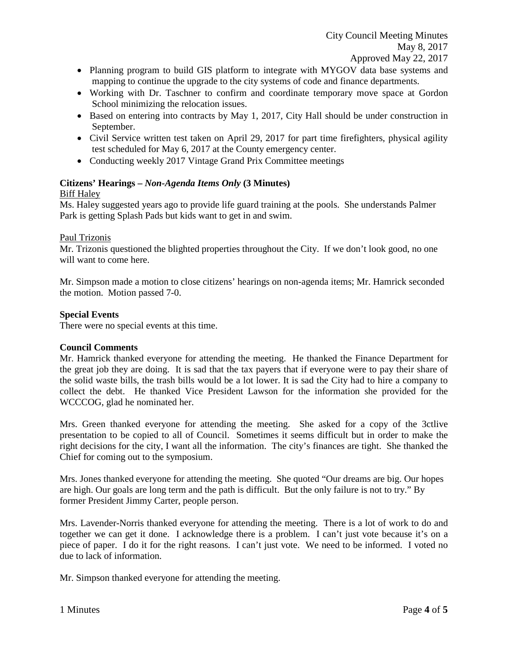- Planning program to build GIS platform to integrate with MYGOV data base systems and mapping to continue the upgrade to the city systems of code and finance departments.
- Working with Dr. Taschner to confirm and coordinate temporary move space at Gordon School minimizing the relocation issues.
- Based on entering into contracts by May 1, 2017, City Hall should be under construction in September.
- Civil Service written test taken on April 29, 2017 for part time firefighters, physical agility test scheduled for May 6, 2017 at the County emergency center.
- Conducting weekly 2017 Vintage Grand Prix Committee meetings

# **Citizens' Hearings –** *Non-Agenda Items Only* **(3 Minutes)**

# Biff Haley

Ms. Haley suggested years ago to provide life guard training at the pools. She understands Palmer Park is getting Splash Pads but kids want to get in and swim.

## Paul Trizonis

Mr. Trizonis questioned the blighted properties throughout the City. If we don't look good, no one will want to come here.

Mr. Simpson made a motion to close citizens' hearings on non-agenda items; Mr. Hamrick seconded the motion. Motion passed 7-0.

# **Special Events**

There were no special events at this time.

# **Council Comments**

Mr. Hamrick thanked everyone for attending the meeting. He thanked the Finance Department for the great job they are doing. It is sad that the tax payers that if everyone were to pay their share of the solid waste bills, the trash bills would be a lot lower. It is sad the City had to hire a company to collect the debt. He thanked Vice President Lawson for the information she provided for the WCCCOG, glad he nominated her.

Mrs. Green thanked everyone for attending the meeting. She asked for a copy of the 3ctlive presentation to be copied to all of Council. Sometimes it seems difficult but in order to make the right decisions for the city, I want all the information. The city's finances are tight. She thanked the Chief for coming out to the symposium.

Mrs. Jones thanked everyone for attending the meeting. She quoted "Our dreams are big. Our hopes are high. Our goals are long term and the path is difficult. But the only failure is not to try." By former President Jimmy Carter, people person.

Mrs. Lavender-Norris thanked everyone for attending the meeting. There is a lot of work to do and together we can get it done. I acknowledge there is a problem. I can't just vote because it's on a piece of paper. I do it for the right reasons. I can't just vote. We need to be informed. I voted no due to lack of information.

Mr. Simpson thanked everyone for attending the meeting.